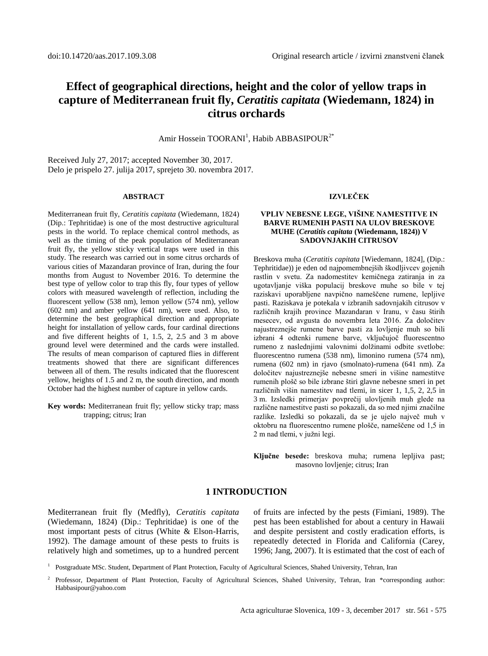# **Effect of geographical directions, height and the color of yellow traps in capture of Mediterranean fruit fly,** *Ceratitis capitata* **(Wiedemann, 1824) in citrus orchards**

Amir Hossein TOORANI<sup>1</sup>, Habib ABBASIPOUR<sup>2\*</sup>

Received July 27, 2017; accepted November 30, 2017. Delo je prispelo 27. julija 2017, sprejeto 30. novembra 2017.

#### **ABSTRACT**

Mediterranean fruit fly, *Ceratitis capitata* (Wiedemann, 1824) (Dip.: Tephritidae) is one of the most destructive agricultural pests in the world. To replace chemical control methods, as well as the timing of the peak population of Mediterranean fruit fly, the yellow sticky vertical traps were used in this study. The research was carried out in some citrus orchards of various cities of Mazandaran province of Iran, during the four months from August to November 2016. To determine the best type of yellow color to trap this fly, four types of yellow colors with measured wavelength of reflection, including the fluorescent yellow (538 nm), lemon yellow (574 nm), yellow (602 nm) and amber yellow (641 nm), were used. Also, to determine the best geographical direction and appropriate height for installation of yellow cards, four cardinal directions and five different heights of 1, 1.5, 2, 2.5 and 3 m above ground level were determined and the cards were installed. The results of mean comparison of captured flies in different treatments showed that there are significant differences between all of them. The results indicated that the fluorescent yellow, heights of 1.5 and 2 m, the south direction, and month October had the highest number of capture in yellow cards.

**Key words:** Mediterranean fruit fly; yellow sticky trap; mass trapping; citrus; Iran

#### **IZVLEČEK**

#### **VPLIV NEBESNE LEGE, VIŠINE NAMESTITVE IN BARVE RUMENIH PASTI NA ULOV BRESKOVE MUHE (***Ceratitis capitata* **(Wiedemann, 1824)) V SADOVNJAKIH CITRUSOV**

Breskova muha (*Ceratitis capitata* [Wiedemann, 1824], (Dip.: Tephritidae)) je eden od najpomembnejših škodljivcev gojenih rastlin v svetu. Za nadomestitev kemičnega zatiranja in za ugotavljanje viška populacij breskove muhe so bile v tej raziskavi uporabljene navpično nameščene rumene, lepljive pasti. Raziskava je potekala v izbranih sadovnjakih citrusov v različnih krajih province Mazandaran v Iranu, v času štirih mesecev, od avgusta do novembra leta 2016. Za določitev najustreznejše rumene barve pasti za lovljenje muh so bili izbrani 4 odtenki rumene barve, vključujoč fluorescentno rumeno z naslednjimi valovnimi dolžinami odbite svetlobe: fluorescentno rumena (538 nm), limonino rumena (574 nm), rumena (602 nm) in rjavo (smolnato)-rumena (641 nm). Za določitev najustreznejše nebesne smeri in višine namestitve rumenih plošč so bile izbrane štiri glavne nebesne smeri in pet različnih višin namestitev nad tlemi, in sicer 1, 1,5, 2, 2,5 in 3 m. Izsledki primerjav povprečij ulovljenih muh glede na različne namestitve pasti so pokazali, da so med njimi značilne razlike. Izsledki so pokazali, da se je ujelo največ muh v oktobru na fluorescentno rumene plošče, nameščene od 1,5 in 2 m nad tlemi, v južni legi.

**Ključne besede:** breskova muha; rumena lepljiva past; masovno lovljenje; citrus; Iran

## **1 INTRODUCTION**

Mediterranean fruit fly (Medfly), *Ceratitis capitata* (Wiedemann, 1824) (Dip.: Tephritidae) is one of the most important pests of citrus (White & Elson-Harris, 1992). The damage amount of these pests to fruits is relatively high and sometimes, up to a hundred percent of fruits are infected by the pests (Fimiani, 1989). The pest has been established for about a century in Hawaii and despite persistent and costly eradication efforts, is repeatedly detected in Florida and California (Carey, 1996; Jang, 2007). It is estimated that the cost of each of

<sup>1</sup> Postgraduate MSc. Student, Department of Plant Protection, Faculty of Agricultural Sciences, Shahed University, Tehran, Iran

<sup>2</sup> Professor, Department of Plant Protection, Faculty of Agricultural Sciences, Shahed University, Tehran, Iran \*corresponding author: Habbasipour@yahoo.com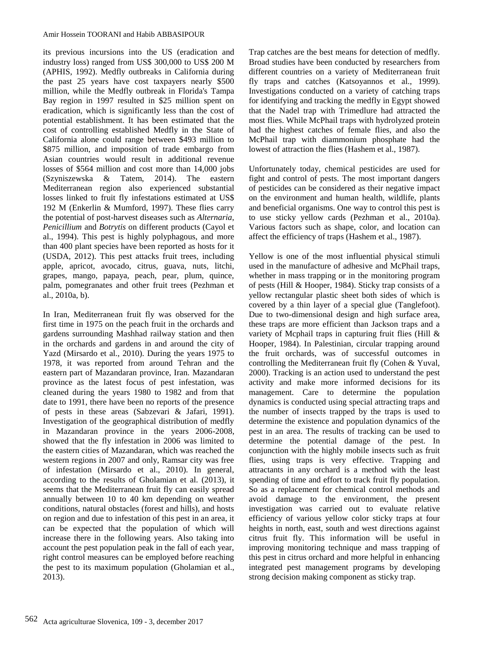its previous incursions into the US (eradication and industry loss) ranged from US\$ 300,000 to US\$ 200 M (APHIS, 1992). Medfly outbreaks in California during the past 25 years have cost taxpayers nearly \$500 million, while the Medfly outbreak in Florida's Tampa Bay region in 1997 resulted in \$25 million spent on eradication, which is significantly less than the cost of potential establishment. It has been estimated that the cost of controlling established Medfly in the State of California alone could range between \$493 million to \$875 million, and imposition of trade embargo from Asian countries would result in additional revenue losses of \$564 million and cost more than 14,000 jobs (Szyniszewska & Tatem, 2014). The eastern Mediterranean region also experienced substantial losses linked to fruit fly infestations estimated at US\$ 192 M (Enkerlin & Mumford, 1997). These flies carry the potential of post-harvest diseases such as *Alternaria*, *Penicillium* and *Botrytis* on different products (Cayol et al., 1994). This pest is highly polyphagous, and more than 400 plant species have been reported as hosts for it (USDA, 2012). This pest attacks fruit trees, including apple, apricot, avocado, citrus, guava, nuts, litchi, grapes, mango, papaya, peach, pear, plum, quince, palm, pomegranates and other fruit trees (Pezhman et al., 2010a, b).

In Iran, Mediterranean fruit fly was observed for the first time in 1975 on the peach fruit in the orchards and gardens surrounding Mashhad railway station and then in the orchards and gardens in and around the city of Yazd (Mirsardo et al., 2010). During the years 1975 to 1978, it was reported from around Tehran and the eastern part of Mazandaran province, Iran. Mazandaran province as the latest focus of pest infestation, was cleaned during the years 1980 to 1982 and from that date to 1991, there have been no reports of the presence of pests in these areas (Sabzevari & Jafari, 1991). Investigation of the geographical distribution of medfly in Mazandaran province in the years 2006-2008, showed that the fly infestation in 2006 was limited to the eastern cities of Mazandaran, which was reached the western regions in 2007 and only, Ramsar city was free of infestation (Mirsardo et al., 2010). In general, according to the results of Gholamian et al. (2013), it seems that the Mediterranean fruit fly can easily spread annually between 10 to 40 km depending on weather conditions, natural obstacles (forest and hills), and hosts on region and due to infestation of this pest in an area, it can be expected that the population of which will increase there in the following years. Also taking into account the pest population peak in the fall of each year, right control measures can be employed before reaching the pest to its maximum population (Gholamian et al., 2013).

Trap catches are the best means for detection of medfly. Broad studies have been conducted by researchers from different countries on a variety of Mediterranean fruit fly traps and catches (Katsoyannos et al., 1999). Investigations conducted on a variety of catching traps for identifying and tracking the medfly in Egypt showed that the Nadel trap with Trimedlure had attracted the most flies. While McPhail traps with hydrolyzed protein had the highest catches of female flies, and also the McPhail trap with diammonium phosphate had the lowest of attraction the flies (Hashem et al., 1987).

Unfortunately today, chemical pesticides are used for fight and control of pests. The most important dangers of pesticides can be considered as their negative impact on the environment and human health, wildlife, plants and beneficial organisms. One way to control this pest is to use sticky yellow cards (Pezhman et al., 2010a). Various factors such as shape, color, and location can affect the efficiency of traps (Hashem et al., 1987).

Yellow is one of the most influential physical stimuli used in the manufacture of adhesive and McPhail traps, whether in mass trapping or in the monitoring program of pests (Hill & Hooper, 1984). Sticky trap consists of a yellow rectangular plastic sheet both sides of which is covered by a thin layer of a special glue (Tanglefoot). Due to two-dimensional design and high surface area, these traps are more efficient than Jackson traps and a variety of Mcphail traps in capturing fruit flies (Hill & Hooper, 1984). In Palestinian, circular trapping around the fruit orchards, was of successful outcomes in controlling the Mediterranean fruit fly (Cohen & Yuval, 2000). Tracking is an action used to understand the pest activity and make more informed decisions for its management. Care to determine the population dynamics is conducted using special attracting traps and the number of insects trapped by the traps is used to determine the existence and population dynamics of the pest in an area. The results of tracking can be used to determine the potential damage of the pest. In conjunction with the highly mobile insects such as fruit flies, using traps is very effective. Trapping and attractants in any orchard is a method with the least spending of time and effort to track fruit fly population. So as a replacement for chemical control methods and avoid damage to the environment, the present investigation was carried out to evaluate relative efficiency of various yellow color sticky traps at four heights in north, east, south and west directions against citrus fruit fly. This information will be useful in improving monitoring technique and mass trapping of this pest in citrus orchard and more helpful in enhancing integrated pest management programs by developing strong decision making component as sticky trap.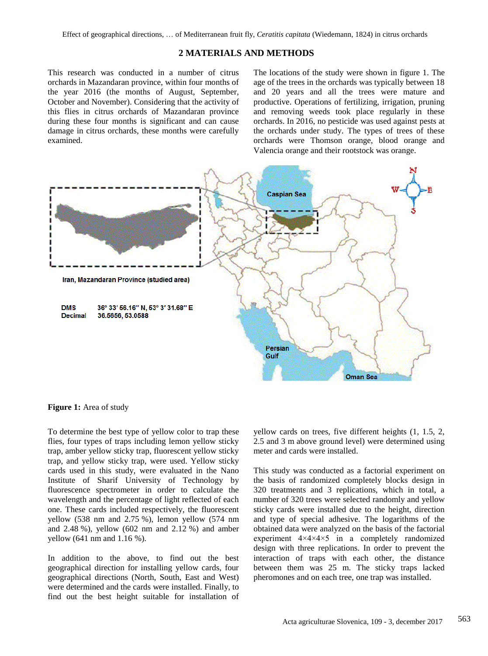## **2 MATERIALS AND METHODS**

This research was conducted in a number of citrus orchards in Mazandaran province, within four months of the year 2016 (the months of August, September, October and November). Considering that the activity of this flies in citrus orchards of Mazandaran province during these four months is significant and can cause damage in citrus orchards, these months were carefully examined.

The locations of the study were shown in figure 1. The age of the trees in the orchards was typically between 18 and 20 years and all the trees were mature and productive. Operations of fertilizing, irrigation, pruning and removing weeds took place regularly in these orchards. In 2016, no pesticide was used against pests at the orchards under study. The types of trees of these orchards were Thomson orange, blood orange and Valencia orange and their rootstock was orange.



**Figure 1:** Area of study

To determine the best type of yellow color to trap these flies, four types of traps including lemon yellow sticky trap, amber yellow sticky trap, fluorescent yellow sticky trap, and yellow sticky trap, were used. Yellow sticky cards used in this study, were evaluated in the Nano Institute of Sharif University of Technology by fluorescence spectrometer in order to calculate the wavelength and the percentage of light reflected of each one. These cards included respectively, the fluorescent yellow (538 nm and 2.75 %), lemon yellow (574 nm and 2.48 %), yellow (602 nm and 2.12 %) and amber yellow (641 nm and 1.16 %).

In addition to the above, to find out the best geographical direction for installing yellow cards, four geographical directions (North, South, East and West) were determined and the cards were installed. Finally, to find out the best height suitable for installation of yellow cards on trees, five different heights (1, 1.5, 2, 2.5 and 3 m above ground level) were determined using meter and cards were installed.

This study was conducted as a factorial experiment on the basis of randomized completely blocks design in 320 treatments and 3 replications, which in total, a number of 320 trees were selected randomly and yellow sticky cards were installed due to the height, direction and type of special adhesive. The logarithms of the obtained data were analyzed on the basis of the factorial experiment 4×4×4×5 in a completely randomized design with three replications. In order to prevent the interaction of traps with each other, the distance between them was 25 m. The sticky traps lacked pheromones and on each tree, one trap was installed.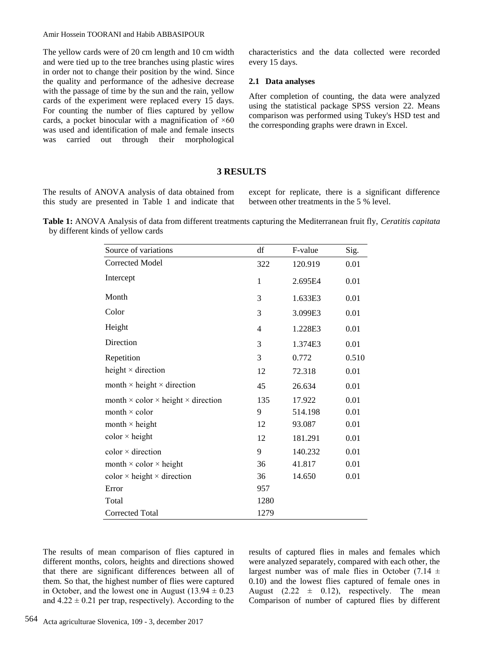Amir Hossein TOORANI and Habib ABBASIPOUR

The yellow cards were of 20 cm length and 10 cm width and were tied up to the tree branches using plastic wires in order not to change their position by the wind. Since the quality and performance of the adhesive decrease with the passage of time by the sun and the rain, yellow cards of the experiment were replaced every 15 days. For counting the number of flies captured by yellow cards, a pocket binocular with a magnification of  $\times 60$ was used and identification of male and female insects was carried out through their morphological characteristics and the data collected were recorded every 15 days.

#### **2.1 Data analyses**

After completion of counting, the data were analyzed using the statistical package SPSS version 22. Means comparison was performed using Tukey's HSD test and the corresponding graphs were drawn in Excel.

## **3 RESULTS**

The results of ANOVA analysis of data obtained from this study are presented in Table 1 and indicate that except for replicate, there is a significant difference between other treatments in the 5 % level.

**Table 1:** ANOVA Analysis of data from different treatments capturing the Mediterranean fruit fly, *Ceratitis capitata*  by different kinds of yellow cards

| Source of variations                                    | df           | F-value | Sig.  |
|---------------------------------------------------------|--------------|---------|-------|
| <b>Corrected Model</b>                                  | 322          | 120.919 | 0.01  |
| Intercept                                               | $\mathbf{1}$ | 2.695E4 | 0.01  |
| Month                                                   | 3            | 1.633E3 | 0.01  |
| Color                                                   | 3            | 3.099E3 | 0.01  |
| Height                                                  | 4            | 1.228E3 | 0.01  |
| Direction                                               | 3            | 1.374E3 | 0.01  |
| Repetition                                              | 3            | 0.772   | 0.510 |
| height $\times$ direction                               | 12           | 72.318  | 0.01  |
| month $\times$ height $\times$ direction                | 45           | 26.634  | 0.01  |
| month $\times$ color $\times$ height $\times$ direction | 135          | 17.922  | 0.01  |
| month $\times$ color                                    | 9            | 514.198 | 0.01  |
| month $\times$ height                                   | 12           | 93.087  | 0.01  |
| $color \times height$                                   | 12           | 181.291 | 0.01  |
| $color \times direction$                                | 9            | 140.232 | 0.01  |
| month $\times$ color $\times$ height                    | 36           | 41.817  | 0.01  |
| $color \times height \times direction$                  | 36           | 14.650  | 0.01  |
| Error                                                   | 957          |         |       |
| Total                                                   | 1280         |         |       |
| <b>Corrected Total</b>                                  | 1279         |         |       |

The results of mean comparison of flies captured in different months, colors, heights and directions showed that there are significant differences between all of them. So that, the highest number of flies were captured in October, and the lowest one in August (13.94  $\pm$  0.23 and  $4.22 \pm 0.21$  per trap, respectively). According to the

results of captured flies in males and females which were analyzed separately, compared with each other, the largest number was of male flies in October (7.14  $\pm$ 0.10) and the lowest flies captured of female ones in August (2.22  $\pm$  0.12), respectively. The mean Comparison of number of captured flies by different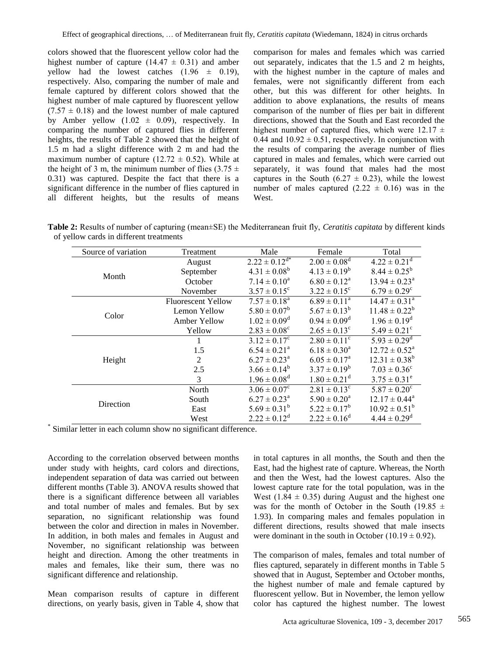colors showed that the fluorescent yellow color had the highest number of capture  $(14.47 \pm 0.31)$  and amber yellow had the lowest catches  $(1.96 \pm 0.19)$ , respectively. Also, comparing the number of male and female captured by different colors showed that the highest number of male captured by fluorescent yellow  $(7.57 \pm 0.18)$  and the lowest number of male captured by Amber yellow  $(1.02 \pm 0.09)$ , respectively. In comparing the number of captured flies in different heights, the results of Table 2 showed that the height of 1.5 m had a slight difference with 2 m and had the maximum number of capture (12.72  $\pm$  0.52). While at the height of 3 m, the minimum number of flies  $(3.75 \pm$ 0.31) was captured. Despite the fact that there is a significant difference in the number of flies captured in all different heights, but the results of means comparison for males and females which was carried out separately, indicates that the 1.5 and 2 m heights, with the highest number in the capture of males and females, were not significantly different from each other, but this was different for other heights. In addition to above explanations, the results of means comparison of the number of flies per bait in different directions, showed that the South and East recorded the highest number of captured flies, which were  $12.17 \pm$ 0.44 and  $10.92 \pm 0.51$ , respectively. In conjunction with the results of comparing the average number of flies captured in males and females, which were carried out separately, it was found that males had the most captures in the South (6.27  $\pm$  0.23), while the lowest number of males captured  $(2.22 \pm 0.16)$  was in the West.

**Table 2:** Results of number of capturing (mean±SE) the Mediterranean fruit fly, *Ceratitis capitata* by different kinds of yellow cards in different treatments

| Source of variation | Treatment                 | Male                         | Female                       | Total                        |
|---------------------|---------------------------|------------------------------|------------------------------|------------------------------|
|                     | August                    | $2.22 \pm 0.12^{d*}$         | $2.00 \pm 0.08$ <sup>d</sup> | $4.22 \pm 0.21$ <sup>d</sup> |
| Month               | September                 | $4.31 \pm 0.08^b$            | $4.13 \pm 0.19^b$            | $8.44 \pm 0.25^b$            |
|                     | October                   | $7.14 \pm 0.10^a$            | $6.80 \pm 0.12^a$            | $13.94 \pm 0.23^{\text{a}}$  |
|                     | November                  | $3.57 \pm 0.15^{\circ}$      | $3.22 \pm 0.15^{\circ}$      | $6.79 \pm 0.29$ <sup>c</sup> |
|                     | <b>Fluorescent Yellow</b> | $7.57 \pm 0.18^a$            | $6.89 \pm 0.11^a$            | $14.47 \pm 0.31^a$           |
| Color               | Lemon Yellow              | $5.80 \pm 0.07^b$            | $5.67 \pm 0.13^b$            | $11.48 \pm 0.22^b$           |
|                     | Amber Yellow              | $1.02 \pm 0.09^d$            | $0.94 \pm 0.09^d$            | $1.96 \pm 0.19^d$            |
|                     | Yellow                    | $2.83 \pm 0.08$ <sup>c</sup> | $2.65 \pm 0.13^c$            | $5.49 \pm 0.21$ <sup>c</sup> |
|                     |                           | $3.12 \pm 0.17^c$            | $2.80 \pm 0.11^{\circ}$      | $5.93 \pm 0.29$ <sup>d</sup> |
|                     | 1.5                       | $6.54 \pm 0.21^a$            | $6.18 \pm 0.30^a$            | $12.72 \pm 0.52^a$           |
| Height              | 2                         | $6.27 \pm 0.23^a$            | $6.05 \pm 0.17^{\rm a}$      | $12.31 \pm 0.38^b$           |
|                     | 2.5                       | $3.66 \pm 0.14^b$            | $3.37 \pm 0.19^b$            | $7.03 \pm 0.36^{\circ}$      |
|                     | 3                         | $1.96 \pm 0.08^d$            | $1.80 \pm 0.21^d$            | $3.75 \pm 0.31^e$            |
|                     | North                     | $3.06 \pm 0.07^c$            | $2.81 \pm 0.13^c$            | $5.87 \pm 0.20^{\circ}$      |
| Direction           | South                     | $6.27 \pm 0.23^{\text{a}}$   | $5.90 \pm 0.20^a$            | $12.17 \pm 0.44^a$           |
|                     | East                      | $5.69 \pm 0.31^b$            | $5.22 \pm 0.17^b$            | $10.92 \pm 0.51^b$           |
|                     | West                      | $2.22 \pm 0.12^d$            | $2.22 \pm 0.16^d$            | $4.44 \pm 0.29^{\rm d}$      |

\* Similar letter in each column show no significant difference.

According to the correlation observed between months under study with heights, card colors and directions, independent separation of data was carried out between different months (Table 3). ANOVA results showed that there is a significant difference between all variables and total number of males and females. But by sex separation, no significant relationship was found between the color and direction in males in November. In addition, in both males and females in August and November, no significant relationship was between height and direction. Among the other treatments in males and females, like their sum, there was no significant difference and relationship.

Mean comparison results of capture in different directions, on yearly basis, given in Table 4, show that in total captures in all months, the South and then the East, had the highest rate of capture. Whereas, the North and then the West, had the lowest captures. Also the lowest capture rate for the total population, was in the West (1.84  $\pm$  0.35) during August and the highest one was for the month of October in the South (19.85  $\pm$ 1.93). In comparing males and females population in different directions, results showed that male insects were dominant in the south in October (10.19  $\pm$  0.92).

The comparison of males, females and total number of flies captured, separately in different months in Table 5 showed that in August, September and October months, the highest number of male and female captured by fluorescent yellow. But in November, the lemon yellow color has captured the highest number. The lowest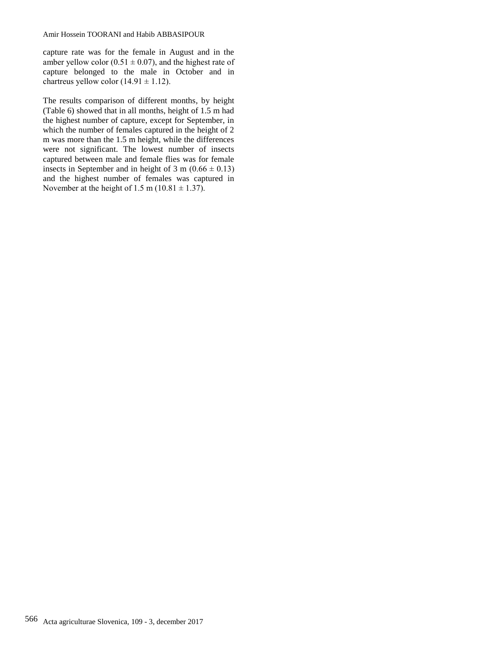capture rate was for the female in August and in the amber yellow color (0.51  $\pm$  0.07), and the highest rate of capture belonged to the male in October and in chartreus yellow color  $(14.91 \pm 1.12)$ .

The results comparison of different months, by height (Table 6) showed that in all months, height of 1.5 m had the highest number of capture, except for September, in which the number of females captured in the height of 2 m was more than the 1.5 m height, while the differences were not significant. The lowest number of insects captured between male and female flies was for female insects in September and in height of 3 m  $(0.66 \pm 0.13)$ and the highest number of females was captured in November at the height of 1.5 m  $(10.81 \pm 1.37)$ .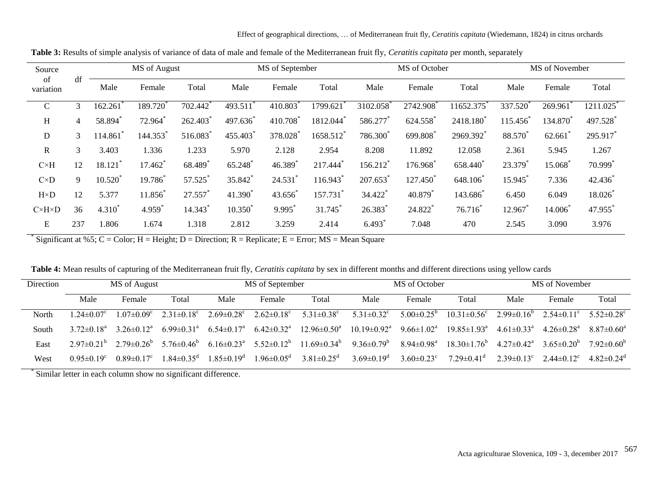| Source                |                | MS of August |            |                     | MS of September     |                       |                        | MS of October          |                      |           | MS of November       |           |            |
|-----------------------|----------------|--------------|------------|---------------------|---------------------|-----------------------|------------------------|------------------------|----------------------|-----------|----------------------|-----------|------------|
| of<br>variation       | df             | Male         | Female     | Total               | Male                | Female                | Total                  | Male                   | Female               | Total     | Male                 | Female    | Total      |
| $\mathsf{C}$          | 3              | 162.261      | 189.720    | 702.442             | 493.511             | 410.803               | 1799.621               | 3102.058               | 2742.908             | 11652.375 | 337.520 <sup>°</sup> | 269.961   | 1211.025   |
| H                     | $\overline{4}$ | 58.894       | 72.964     | 262.403             | 497.636             | 410.708               | 1812.044               | 586.277                | 624.558              | 2418.180  | 115.456              | 134.870   | 497.528    |
| $\mathbf D$           | 3              | 114.861      | 144.353    | 516.083             | 455.403             | 378.028               | 1658.512 <sup>*</sup>  | 786.300*               | 699.808              | 2969.392  | 88.570               | 62.661    | 295.917    |
| $\mathbf R$           | 3              | 3.403        | 1.336      | 1.233               | 5.970               | 2.128                 | 2.954                  | 8.208                  | 11.892               | 12.058    | 2.361                | 5.945     | 1.267      |
| $C \times H$          | 12             | 18.121       | 17.462     | 68.489 <sup>'</sup> | 65.248              | $46.389$ <sup>*</sup> | 217.444                | 156.212                | 176.968              | 658.440   | 23.379               | 15.068    | 70.999     |
| $C\times D$           | 9              | $10.520^*$   | 19.786     | 57.525*             | 35.842 <sup>*</sup> | $24.531$ <sup>*</sup> | $116.943$ <sup>*</sup> | $207.653$ <sup>*</sup> | 127.450 <sup>*</sup> | 648.106   | 15.945*              | 7.336     | $42.436^*$ |
| $H \times D$          | 12             | 5.377        | $11.856^*$ | 27.557*             | 41.390 <sup>*</sup> | 43.656                | 157.731                | 34.422                 | 40.879               | 143.686   | 6.450                | 6.049     | 18.026     |
| $C \times H \times D$ | 36             | $4.310^{4}$  | 4.959      | 14.343              | $10.350^*$          | 9.995                 | $31.745$ <sup>*</sup>  | $26.383*$              | 24.822               | $76.716*$ | 12.967               | $14.006*$ | 47.955     |
| E                     | 237            | 1.806        | 1.674      | 1.318               | 2.812               | 3.259                 | 2.414                  | 6.493                  | 7.048                | 470       | 2.545                | 3.090     | 3.976      |

**Table 3:** Results of simple analysis of variance of data of male and female of the Mediterranean fruit fly, *Ceratitis capitata* per month, separately

 $*$  Significant at %5; C = Color; H = Height; D = Direction; R = Replicate; E = Error; MS = Mean Square

| Table 4: Mean results of capturing of the Mediterranean fruit fly, <i>Ceratitis capitata</i> by sex in different months and different directions using yellow cards |  |  |
|---------------------------------------------------------------------------------------------------------------------------------------------------------------------|--|--|
|                                                                                                                                                                     |  |  |

| Direction | MS of August                 |                              |                              | MS of September              |                              |                              | MS of October                 |                              |                              | MS of November               |                              |                              |
|-----------|------------------------------|------------------------------|------------------------------|------------------------------|------------------------------|------------------------------|-------------------------------|------------------------------|------------------------------|------------------------------|------------------------------|------------------------------|
|           | Male                         | Female                       | Total                        | Male                         | Female                       | Total                        | Male                          | Female                       | Total                        | Male                         | Female                       | Total                        |
| North     | $1.24 \pm 0.07$ °            | $1.07 \pm 0.09^c$            | $2.31 \pm 0.18$ <sup>c</sup> | $2.69 \pm 0.28$ <sup>c</sup> | $2.62 \pm 0.18$ <sup>c</sup> | $5.31 \pm 0.38$ <sup>c</sup> | $5.31 \pm 0.32$ <sup>c</sup>  | $5.00 \pm 0.25^{\circ}$      | $10.31 \pm 0.56^{\circ}$     | $299\pm0.16^{\circ}$         | $2.54 \pm 0.11$ <sup>c</sup> | 5.52 $\pm$ 0.28 $^{\circ}$   |
| South     | 3.72 $\pm$ 0.18 <sup>a</sup> | 3 26 $\pm$ 0 12 <sup>a</sup> | 6.99 $\pm$ 0.31 <sup>a</sup> | $6.54 \pm 0.17$ <sup>a</sup> | $6.42 \pm 0.32$ <sup>a</sup> | $12.96 \pm 0.50^{\text{a}}$  | $10.19 \pm 0.92$ <sup>a</sup> | $9.66 \pm 1.02^a$            | $19.85 \pm 1.93^{\circ}$     | $4.61 \pm 0.33$ <sup>a</sup> | $426\pm0.28^{\rm a}$         | $8.87 \pm 0.60^a$            |
| East      | $2.97\pm0.21^{\circ}$        | $2.79 \pm 0.26$ <sup>b</sup> | 5 76 $\pm$ 0 46 <sup>b</sup> | $6.16 \pm 0.23$ <sup>a</sup> | $5.52 \pm 0.12^b$            | $11.69 \pm 0.34^b$           | 9.36 $\pm$ 0.79 <sup>b</sup>  | $8.94 \pm 0.98$ <sup>a</sup> | $18.30 \pm 1.76^{\circ}$     | $427\pm0.42^{\mathrm{a}}$    | $3.65 \pm 0.20^b$            | $7.92 \pm 0.60^6$            |
| West      | 0.95 $\pm$ 0.19 <sup>c</sup> | $0.89 \pm 0.17$ °            | $84 \pm 0.35$ <sup>d</sup>   | $1.85 \pm 0.19$ <sup>d</sup> | $1.96 \pm 0.05$ <sup>d</sup> | $3.81 \pm 0.25$ <sup>d</sup> | $3.69 \pm 0.19$ <sup>d</sup>  | $3.60 \pm 0.23$ <sup>c</sup> | $7.29 \pm 0.41$ <sup>d</sup> | $2.39 \pm 0.13$ <sup>c</sup> | $2.44\pm 0.12$ <sup>c</sup>  | 4 82 $\pm$ 0 24 <sup>d</sup> |

\* Similar letter in each column show no significant difference.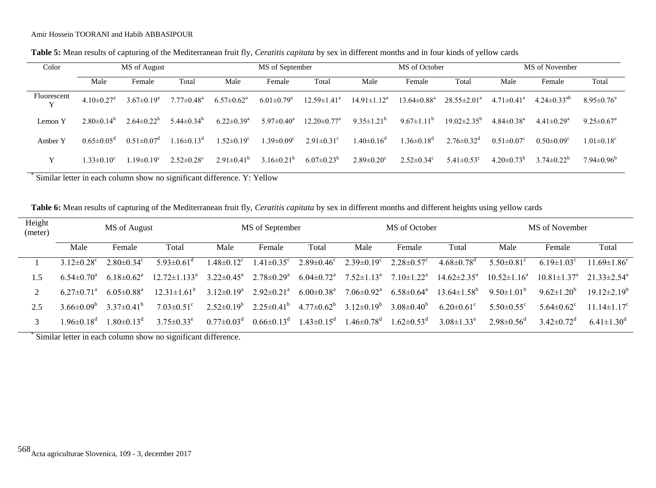| Color                       | MS of August                 |                              |                              | MS of September              |                              |                               | MS of October                |                               |                              | MS of November               |                              |                              |
|-----------------------------|------------------------------|------------------------------|------------------------------|------------------------------|------------------------------|-------------------------------|------------------------------|-------------------------------|------------------------------|------------------------------|------------------------------|------------------------------|
|                             | Male                         | Female                       | Total                        | Male                         | Female                       | Total                         | Male                         | Female                        | Total                        | Male                         | Female                       | Total                        |
| Fluorescent<br>$\mathbf{v}$ | $4.10 \pm 0.27$ <sup>a</sup> | $3.67 \pm 0.19^a$            | $7.77 \pm 0.48$ <sup>a</sup> | $6.57 \pm 0.62^{\text{a}}$   | $6.01 \pm 0.79$ <sup>a</sup> | $12.59 \pm 1.41^a$            | $14.91 \pm 1.12^a$           | $13.64 \pm 0.88$ <sup>a</sup> | $28.55 \pm 2.01^a$           | $4.71 \pm 0.41$ <sup>a</sup> | $4.24 \pm 0.33^{ab}$         | $8.95 \pm 0.76^{\circ}$      |
| Lemon Y                     | $2.80\pm0.14^{b}$            | $2.64 \pm 0.22^b$            | 5.44 $\pm$ 0.34 <sup>b</sup> | $6.22 \pm 0.39^{\text{a}}$   | $5.97 \pm 0.40^{\mathrm{a}}$ | $12.20 \pm 0.77$ <sup>a</sup> | $9.35 \pm 1.21^b$            | 9.67 $\pm$ 1.11 <sup>b</sup>  | $19.02 \pm 2.35^{\circ}$     | $4.84 \pm 0.38$ <sup>a</sup> | $4.41 \pm 0.29^a$            | $9.25 \pm 0.67^{\text{a}}$   |
| Amber Y                     | $0.65 \pm 0.05$ <sup>d</sup> | $0.51 \pm 0.07$ <sup>d</sup> | $1.16 \pm 0.13$ <sup>d</sup> | $1.52 \pm 0.19$ <sup>c</sup> | $1.39 \pm 0.09$ <sup>c</sup> | $2.91 \pm 0.31$ <sup>c</sup>  | $1.40 \pm 0.16^d$            | $1.36 \pm 0.18$ <sup>d</sup>  | $2.76 \pm 0.32$ <sup>d</sup> | $0.51 \pm 0.07$ <sup>c</sup> | $0.50 \pm 0.09$ <sup>c</sup> | $1.01 \pm 0.18$ <sup>c</sup> |
| Y                           | $1.33 \pm 0.10^c$            | $1.19 \pm 0.19$ <sup>c</sup> | $2.52 \pm 0.28$ <sup>c</sup> | $2.91 \pm 0.41^b$            | $3.16\pm0.21^{b}$            | $6.07 \pm 0.23^b$             | $2.89 \pm 0.20$ <sup>c</sup> | $2.52 \pm 0.34$ <sup>c</sup>  | $5.41 \pm 0.53$ <sup>c</sup> | $4.20\pm0.73^{b}$            | $3.74 \pm 0.22^b$            | $7.94 \pm 0.96^b$            |

**Table 5:** Mean results of capturing of the Mediterranean fruit fly, *Ceratitis capitata* by sex in different months and in four kinds of yellow cards

\* Similar letter in each column show no significant difference. Y: Yellow

**Table 6:** Mean results of capturing of the Mediterranean fruit fly, *Ceratitis capitata* by sex in different months and different heights using yellow cards

| Height<br>(meter) | MS of August                 |                              |                                | MS of September              |                              |                              |                              | MS of October                |                              | MS of November               |                               |                               |
|-------------------|------------------------------|------------------------------|--------------------------------|------------------------------|------------------------------|------------------------------|------------------------------|------------------------------|------------------------------|------------------------------|-------------------------------|-------------------------------|
|                   | Male                         | Female                       | Total                          | Male                         | Female                       | Total                        | Male                         | Female                       | Total                        | Male                         | Female                        | Total                         |
|                   | 3 12 $\pm$ 0 28 $\mathrm{c}$ | $2.80 \pm 0.34$ <sup>c</sup> | $5.93 \pm 0.61$ <sup>a</sup>   | $1.48 \pm 0.12$ <sup>c</sup> | $1.41 \pm 0.35$ <sup>c</sup> | $2.89 \pm 0.46$ <sup>c</sup> | $2.39 \pm 0.19^c$            | $2.28 \pm 0.57$ °            | $4.68 \pm 0.78$ <sup>a</sup> | $5.50 \pm 0.81$ <sup>c</sup> | 6.19 $\pm$ 1.03 $^{\circ}$    | $11.69 \pm 1.86$ <sup>c</sup> |
| 1.5               | 6.54 $\pm$ 0.70 <sup>a</sup> | 6.18 $\pm$ 0.62 <sup>a</sup> | $12.72 \pm 1.133$ <sup>a</sup> | $3.22 \pm 0.45^{\circ}$      | $2.78 \pm 0.29$ <sup>a</sup> | $6.04 \pm 0.72$ <sup>a</sup> | $7.52 \pm 1.13^a$            | $7.10 \pm 1.22^{\text{a}}$   | $14.62 \pm 2.35^{\text{a}}$  | $10.52 \pm 1.16^a$           | $10.81 \pm 1.37$ <sup>a</sup> | 21 33 $\pm$ 2 54 <sup>a</sup> |
|                   | 6 27 $\pm$ 0 71 <sup>a</sup> | 6.05 $\pm$ 0.88 <sup>a</sup> | $12.31 \pm 1$<br>$161^{\circ}$ | 3 12 $\pm$ 0 19 <sup>a</sup> | $2.92 \pm 0.21$ <sup>a</sup> | $6.00 \pm 0.38$ <sup>a</sup> | $7.06 \pm 0.92$ <sup>a</sup> | $6.58 \pm 0.64$ <sup>a</sup> | $13.64 \pm 1.58^{\circ}$     | $9.50 \pm 1.01^{\circ}$      | $9.62 \pm 1.20^{\circ}$       | $1912\pm219^b$                |
| 2.5               | 3.66 $\pm$ 0.09 <sup>b</sup> | 3 37 $\pm$ 0 41 <sup>b</sup> | $7.03 \pm 0.51$ °              | $2.52\pm0.19^b$              | $2.25 \pm 0.41^{\circ}$      | $4.77 \pm 0.62^b$            | $3.12\pm0.19^{b}$            | $3.08 \pm 0.40^b$            | $6.20 \pm 0.61$ <sup>c</sup> | $5.50\pm0.55^{\circ}$        | $5.64 \pm 0.62$ <sup>c</sup>  | $11.14 \pm 1.17^c$            |
|                   | $196 \pm 018$                | $180 \pm 013$ <sup>a</sup>   | $3.75 \pm 0.33^e$              | $0.77 \pm 0.03$ <sup>a</sup> | $0.66 \pm 0.13^{\circ}$      | $1.43 \pm 0.15^{\circ}$      | $46 \pm 0.78$ <sup>a</sup>   | $1.62 \pm 0.53$ <sup>d</sup> | $3.08 \pm 1.33^e$            | $2.98 \pm 0.56$ <sup>a</sup> | $3.42 \pm 0.72$ <sup>a</sup>  | 6.41 $\pm$ 1.30 <sup>d</sup>  |
|                   |                              |                              |                                |                              |                              |                              |                              |                              |                              |                              |                               |                               |

\* Similar letter in each column show no significant difference.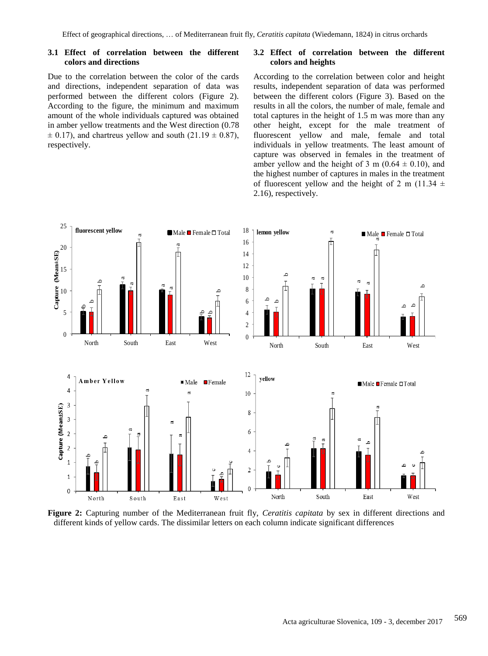#### **3.1 Effect of correlation between the different colors and directions**

Due to the correlation between the color of the cards and directions, independent separation of data was performed between the different colors (Figure 2). According to the figure, the minimum and maximum amount of the whole individuals captured was obtained in amber yellow treatments and the West direction (0.78  $\pm$  0.17), and chartreus yellow and south (21.19  $\pm$  0.87), respectively.

#### **3.2 Effect of correlation between the different colors and heights**

According to the correlation between color and height results, independent separation of data was performed between the different colors (Figure 3). Based on the results in all the colors, the number of male, female and total captures in the height of 1.5 m was more than any other height, except for the male treatment of fluorescent yellow and male, female and total individuals in yellow treatments. The least amount of capture was observed in females in the treatment of amber yellow and the height of 3 m  $(0.64 \pm 0.10)$ , and the highest number of captures in males in the treatment of fluorescent yellow and the height of 2 m (11.34  $\pm$ 2.16), respectively.



**Figure 2:** Capturing number of the Mediterranean fruit fly, *Ceratitis capitata* by sex in different directions and different kinds of yellow cards. The dissimilar letters on each column indicate significant differences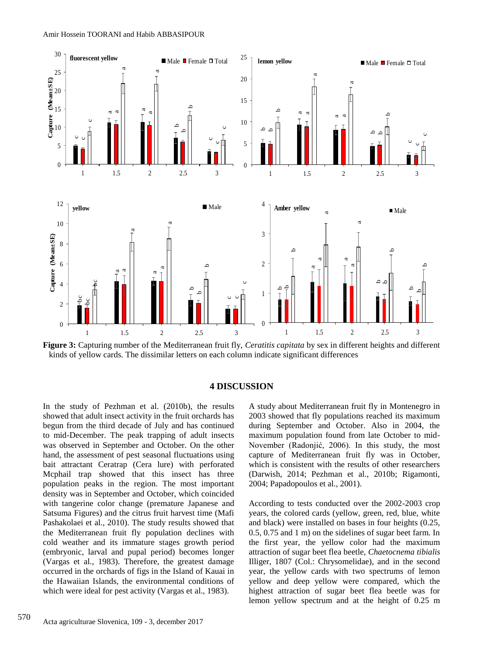

**Figure 3:** Capturing number of the Mediterranean fruit fly, *Ceratitis capitata* by sex in different heights and different kinds of yellow cards. The dissimilar letters on each column indicate significant differences

## **4 DISCUSSION**

In the study of Pezhman et al. (2010b), the results showed that adult insect activity in the fruit orchards has begun from the third decade of July and has continued to mid-December. The peak trapping of adult insects was observed in September and October. On the other hand, the assessment of pest seasonal fluctuations using bait attractant Ceratrap (Cera lure) with perforated Mcphail trap showed that this insect has three population peaks in the region. The most important density was in September and October, which coincided with tangerine color change (premature Japanese and Satsuma Figures) and the citrus fruit harvest time (Mafi Pashakolaei et al., 2010). The study results showed that the Mediterranean fruit fly population declines with cold weather and its immature stages growth period (embryonic, larval and pupal period) becomes longer (Vargas et al., 1983). Therefore, the greatest damage occurred in the orchards of figs in the Island of Kauai in the Hawaiian Islands, the environmental conditions of which were ideal for pest activity (Vargas et al., 1983).

A study about Mediterranean fruit fly in Montenegro in 2003 showed that fly populations reached its maximum during September and October. Also in 2004, the maximum population found from late October to mid-November (Radonjić, 2006). In this study, the most capture of Mediterranean fruit fly was in October, which is consistent with the results of other researchers (Darwish, 2014; Pezhman et al., 2010b; Rigamonti, 2004; Papadopoulos et al., 2001).

According to tests conducted over the 2002-2003 crop years, the colored cards (yellow, green, red, blue, white and black) were installed on bases in four heights (0.25, 0.5, 0.75 and 1 m) on the sidelines of sugar beet farm. In the first year, the yellow color had the maximum attraction of sugar beet flea beetle, *Chaetocnema tibialis* Illiger, 1807 (Col.: Chrysomelidae), and in the second year, the yellow cards with two spectrums of lemon yellow and deep yellow were compared, which the highest attraction of sugar beet flea beetle was for lemon yellow spectrum and at the height of 0.25 m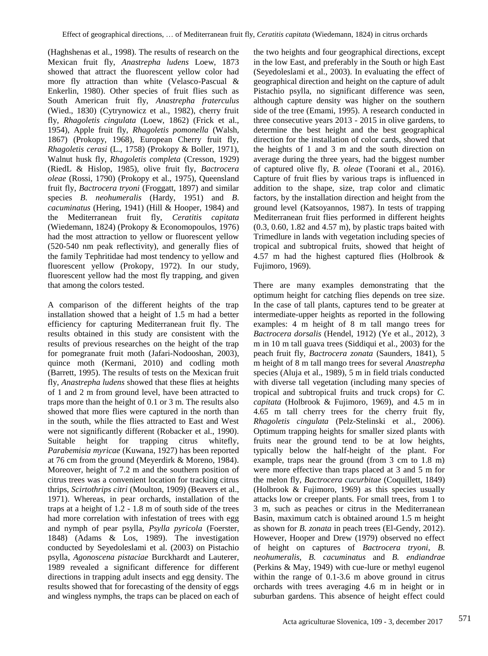(Haghshenas et al., 1998). The results of research on the Mexican fruit fly, *Anastrepha ludens* Loew, 1873 showed that attract the fluorescent yellow color had more fly attraction than white (Velasco-Pascual & Enkerlin, 1980). Other species of fruit flies such as South American fruit fly, *Anastrepha fraterculus* (Wied., 1830) (Cytrynowicz et al., 1982), cherry fruit fly, *Rhagoletis cingulata* (Loew, 1862) (Frick et al., 1954), Apple fruit fly, *Rhagoletis pomonella* (Walsh, 1867) (Prokopy, 1968), European Cherry fruit fly, *Rhagoletis cerasi* (L., 1758) (Prokopy & Boller, 1971), Walnut husk fly, *Rhagoletis completa* (Cresson, 1929) (RiedL & Hislop, 1985), olive fruit fly, *Bactrocera oleae* (Rossi, 1790) (Prokopy et al., 1975), Queensland fruit fly, *Bactrocera tryoni* (Froggatt, 1897) and similar species *B*. *neohumeralis* (Hardy, 1951) and *B*. *cacuminatus* (Hering, 1941) (Hill & Hooper, 1984) and the Mediterranean fruit fly, *Ceratitis capitata* (Wiedemann, 1824) (Prokopy & Economopoulos, 1976) had the most attraction to yellow or fluorescent yellow (520-540 nm peak reflectivity), and generally flies of the family Tephritidae had most tendency to yellow and fluorescent yellow (Prokopy, 1972). In our study, fluorescent yellow had the most fly trapping, and given that among the colors tested.

A comparison of the different heights of the trap installation showed that a height of 1.5 m had a better efficiency for capturing Mediterranean fruit fly. The results obtained in this study are consistent with the results of previous researches on the height of the trap for pomegranate fruit moth (Jafari-Nodooshan, 2003), quince moth (Kermani, 2010) and codling moth (Barrett, 1995). The results of tests on the Mexican fruit fly, *Anastrepha ludens* showed that these flies at heights of 1 and 2 m from ground level, have been attracted to traps more than the height of 0.1 or 3 m. The results also showed that more flies were captured in the north than in the south, while the flies attracted to East and West were not significantly different (Robacker et al., 1990). Suitable height for trapping citrus whitefly, *Parabemisia myricae* (Kuwana, 1927) has been reported at 76 cm from the ground (Meyerdirk & Moreno, 1984). Moreover, height of 7.2 m and the southern position of citrus trees was a convenient location for tracking citrus thrips, *Scirtothrips citri* (Moulton, 1909) (Beavers et al., 1971). Whereas, in pear orchards, installation of the traps at a height of 1.2 - 1.8 m of south side of the trees had more correlation with infestation of trees with egg and nymph of pear psylla, *Psylla pyricola* (Foerster, 1848) (Adams & Los, 1989). The investigation conducted by Seyedoleslami et al. (2003) on Pistachio psylla, *Agonoscena pistaciae* Burckhardt and Lauterer, 1989 revealed a significant difference for different directions in trapping adult insects and egg density. The results showed that for forecasting of the density of eggs and wingless nymphs, the traps can be placed on each of the two heights and four geographical directions, except in the low East, and preferably in the South or high East (Seyedoleslami et al., 2003). In evaluating the effect of geographical direction and height on the capture of adult Pistachio psylla, no significant difference was seen, although capture density was higher on the southern side of the tree (Emami, 1995). A research conducted in three consecutive years 2013 - 2015 in olive gardens, to determine the best height and the best geographical direction for the installation of color cards, showed that the heights of 1 and 3 m and the south direction on average during the three years, had the biggest number of captured olive fly, *B. oleae* (Toorani et al., 2016). Capture of fruit flies by various traps is influenced in addition to the shape, size, trap color and climatic factors, by the installation direction and height from the ground level (Katsoyannos, 1987). In tests of trapping Mediterranean fruit flies performed in different heights (0.3, 0.60, 1.82 and 4.57 m), by plastic traps baited with Trimedlure in lands with vegetation including species of tropical and subtropical fruits, showed that height of 4.57 m had the highest captured flies (Holbrook & Fujimoro, 1969).

There are many examples demonstrating that the optimum height for catching flies depends on tree size. In the case of tall plants, captures tend to be greater at intermediate-upper heights as reported in the following examples: 4 m height of 8 m tall mango trees for *Bactrocera dorsalis* (Hendel, 1912) (Ye et al., 2012), 3 m in 10 m tall guava trees (Siddiqui et al., 2003) for the peach fruit fly, *Bactrocera zonata* (Saunders, 1841), 5 m height of 8 m tall mango trees for several *Anastrepha* species (Aluja et al., 1989), 5 m in field trials conducted with diverse tall vegetation (including many species of tropical and subtropical fruits and truck crops) for *C. capitata* (Holbrook & Fujimoro, 1969), and 4.5 m in 4.65 m tall cherry trees for the cherry fruit fly, *Rhagoletis cingulata* (Pelz-Stelinski et al., 2006). Optimum trapping heights for smaller sized plants with fruits near the ground tend to be at low heights, typically below the half-height of the plant. For example, traps near the ground (from 3 cm to 1.8 m) were more effective than traps placed at 3 and 5 m for the melon fly, *Bactrocera cucurbitae* [\(Coquillett,](https://en.wikipedia.org/wiki/Daniel_William_Coquillett) 1849) (Holbrook & Fujimoro, 1969) as this species usually attacks low or creeper plants. For small trees, from 1 to 3 m, such as peaches or citrus in the Mediterranean Basin, maximum catch is obtained around 1.5 m height as shown for *B. zonata* in peach trees (El-Gendy, 2012). However, Hooper and Drew (1979) observed no effect of height on captures of *Bactrocera tryoni*, *B. neohumeralis*, *B. cacuminatus* and *B. endiandrae* (Perkins & May, 1949) with cue-lure or methyl eugenol within the range of 0.1-3.6 m above ground in citrus orchards with trees averaging 4.6 m in height or in suburban gardens. This absence of height effect could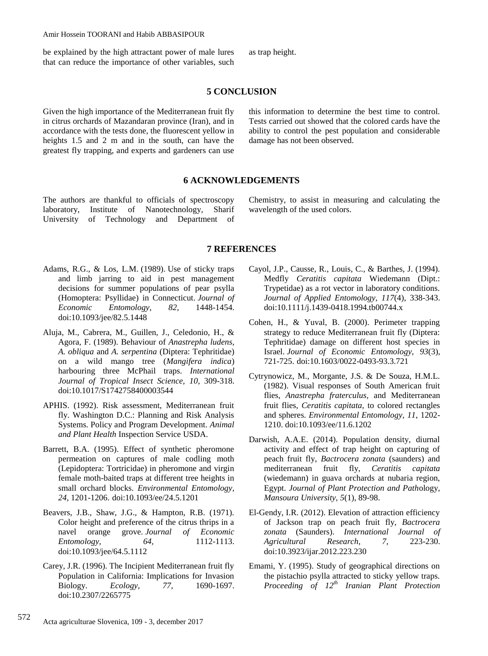be explained by the high attractant power of male lures that can reduce the importance of other variables, such as trap height.

## **5 CONCLUSION**

Given the high importance of the Mediterranean fruit fly in citrus orchards of Mazandaran province (Iran), and in accordance with the tests done, the fluorescent yellow in heights 1.5 and 2 m and in the south, can have the greatest fly trapping, and experts and gardeners can use

this information to determine the best time to control. Tests carried out showed that the colored cards have the ability to control the pest population and considerable damage has not been observed.

## **6 ACKNOWLEDGEMENTS**

The authors are thankful to officials of spectroscopy laboratory, Institute of Nanotechnology, Sharif University of Technology and Department of Chemistry, to assist in measuring and calculating the wavelength of the used colors.

## **7 REFERENCES**

- Adams, R.G., & Los, L.M. (1989). Use of sticky traps and limb jarring to aid in pest management decisions for summer populations of pear psylla (Homoptera: Psyllidae) in Connecticut. *Journal of Economic Entomology, 82*, 1448-1454. [doi:10.1093/jee/82.5.1448](https://doi.org/10.1093/jee/82.5.1448)
- Aluja, M., Cabrera, M., Guillen, J., Celedonio, H., & Agora, F. (1989). Behaviour of *Anastrepha ludens*, *A. obliqua* and *A. serpentina* (Diptera: Tephritidae) on a wild mango tree (*Mangifera indica*) harbouring three McPhail traps. *International Journal of Tropical Insect Science, 10*, 309-318. [doi:10.1017/S1742758400003544](https://doi.org/10.1017/S1742758400003544)
- APHIS. (1992). Risk assessment, Mediterranean fruit fly. Washington D.C.: Planning and Risk Analysis Systems. Policy and Program Development. *Animal and Plant Health* Inspection Service USDA.
- Barrett, B.A. (1995). Effect of synthetic pheromone permeation on captures of male codling moth (Lepidoptera: Tortricidae) in pheromone and virgin female moth-baited traps at different tree heights in small orchard blocks. *Environmental Entomology*, *24,* 1201-1206. [doi:10.1093/ee/24.5.1201](https://doi.org/10.1093/ee/24.5.1201)
- Beavers, J.B., Shaw, J.G., & Hampton, R.B. (1971). Color height and preference of the citrus thrips in a navel orange grove. *Journal of Economic Entomology*, *64,* 1112-1113. [doi:10.1093/jee/64.5.1112](https://doi.org/10.1093/jee/64.5.1112)
- Carey, J.R. (1996). The Incipient Mediterranean fruit fly Population in California: Implications for Invasion Biology. *Ecology, 77*, 1690-1697. [doi:10.2307/2265775](https://doi.org/10.2307/2265775)
- Cayol, J.P., Causse, R., Louis, C., & Barthes, J. (1994). Medfly *Ceratitis capitata* Wiedemann (Dipt.: Trypetidae) as a rot vector in laboratory conditions. *Journal of Applied Entomology, 117*(4), 338-343. [doi:10.1111/j.1439-0418.1994.tb00744.x](https://doi.org/10.1111/j.1439-0418.1994.tb00744.x)
- Cohen, H., & Yuval, B. (2000). Perimeter trapping strategy to reduce Mediterranean fruit fly (Diptera: Tephritidae) damage on different host species in Israel. *Journal of Economic Entomology, 93*(3), 721-725. [doi:10.1603/0022-0493-93.3.721](https://doi.org/10.1603/0022-0493-93.3.721)
- Cytrynowicz, M., Morgante, J.S. & De Souza, H.M.L. (1982). Visual responses of South American fruit flies, *Anastrepha fraterculus,* and Mediterranean fruit flies, *Ceratitis capitata,* to colored rectangles and spheres. *Environmental Entomology, 11*, 1202- 1210. [doi:10.1093/ee/11.6.1202](https://doi.org/10.1093/ee/11.6.1202)
- Darwish, A.A.E. (2014). Population density, diurnal activity and effect of trap height on capturing of peach fruit fly, *Bactrocera zonata* (saunders) and mediterranean fruit fly, *Ceratitis capitata* (wiedemann) in guava orchards at nubaria region, Egypt. *Journal of Plant Protection and Path*ology*, Mansoura University, 5*(1), 89-98.
- El-Gendy, I.R. (2012). Elevation of attraction efficiency of Jackson trap on peach fruit fly, *Bactrocera zonata* (Saunders). *International Journal of Agricultural Research, 7*, 223-230. [doi:10.3923/ijar.2012.223.230](https://doi.org/10.3923/ijar.2012.223.230)
- Emami, Y. (1995). Study of geographical directions on the pistachio psylla attracted to sticky yellow traps. *Proceeding of 12th Iranian Plant Protection*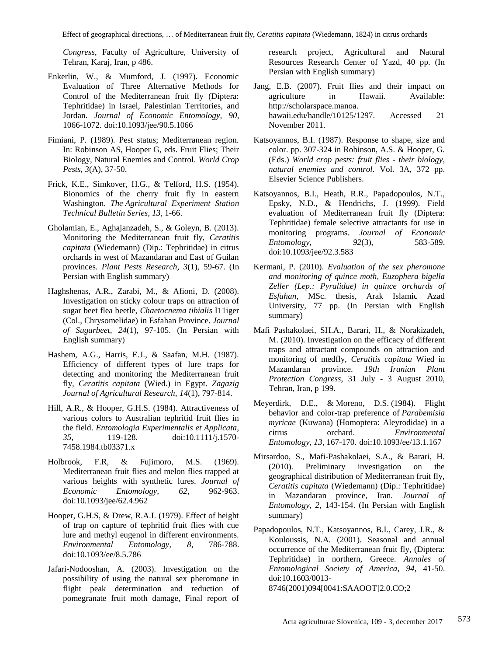*Congress*, Faculty of Agriculture, University of Tehran, Karaj, Iran, p 486.

- Enkerlin, W., & Mumford, J. (1997). Economic Evaluation of Three Alternative Methods for Control of the Mediterranean fruit fly (Diptera: Tephritidae) in Israel, Palestinian Territories, and Jordan. *Journal of Economic Entomology, 90*, 1066-1072. [doi:10.1093/jee/90.5.1066](https://doi.org/10.1093/jee/90.5.1066)
- Fimiani, P. (1989). Pest status; Mediterranean region. In: Robinson AS, Hooper G, eds. Fruit Flies; Their Biology, Natural Enemies and Control. *World Crop Pests*, *3*(A), 37-50.
- Frick, K.E., Simkover, H.G., & Telford, H.S. (1954). Bionomics of the cherry fruit fly in eastern Washington. *The Agricultural Experiment Station Technical Bulletin Series, 13*, 1-66.
- Gholamian, E., Aghajanzadeh, S., & Goleyn, B. (2013). Monitoring the Mediterranean fruit fly, *Ceratitis capitata* (Wiedemann) (Dip.: Tephritidae) in citrus orchards in west of Mazandaran and East of Guilan provinces. *Plant Pests Research, 3*(1), 59-67. (In Persian with English summary)
- Haghshenas, A.R., Zarabi, M., & Afioni, D. (2008). Investigation on sticky colour traps on attraction of sugar beet flea beetle, *Chaetocnema tibialis* I11iger (Col., Chrysomelidae) in Esfahan Province. *Journal of Sugarbeet, 24*(1), 97-105. (In Persian with English summary)
- Hashem, A.G., Harris, E.J., & Saafan, M.H. (1987). Efficiency of different types of lure traps for detecting and monitoring the Mediterranean fruit fly, *Ceratitis capitata* (Wied.) in Egypt. *Zagazig Journal of Agricultural Research, 14*(1), 797-814.
- Hill, A.R., & Hooper, G.H.S. (1984). Attractiveness of various colors to Australian tephritid fruit flies in the field. *Entomologia Experimentalis et Applicata, 35*, 119-128. [doi:10.1111/j.1570-](https://doi.org/10.1111/j.1570-7458.1984.tb03371.x) [7458.1984.tb03371.x](https://doi.org/10.1111/j.1570-7458.1984.tb03371.x)
- Holbrook, F.R, & Fujimoro, M.S. (1969). Mediterranean fruit flies and melon flies trapped at various heights with synthetic lures. *Journal of Economic Entomology, 62*, 962-963. [doi:10.1093/jee/62.4.962](https://doi.org/10.1093/jee/62.4.962)
- Hooper, G.H.S, & Drew, R.A.I. (1979). Effect of height of trap on capture of tephritid fruit flies with cue lure and methyl eugenol in different environments. *Environmental Entomology, 8*, 786-788. [doi:10.1093/ee/8.5.786](https://doi.org/10.1093/ee/8.5.786)
- Jafari-Nodooshan, A. (2003). Investigation on the possibility of using the natural sex pheromone in flight peak determination and reduction of pomegranate fruit moth damage, Final report of

research project, Agricultural and Natural Resources Research Center of Yazd, 40 pp. (In Persian with English summary)

- Jang, E.B. (2007). Fruit flies and their impact on agriculture in Hawaii. Available: http://scholarspace.manoa. hawaii.edu/handle/10125/1297. Accessed 21 November 2011.
- Katsoyannos, B.I. (1987). Response to shape, size and color. pp. 307-324 in Robinson, A.S. & Hooper, G. (Eds.) *World crop pests: fruit flies - their biology, natural enemies and control*. Vol. 3A, 372 pp. Elsevier Science Publishers.
- Katsoyannos, B.I., Heath, R.R., Papadopoulos, N.T., Epsky, N.D., & Hendrichs, J. (1999). Field evaluation of Mediterranean fruit fly (Diptera: Tephritidae) female selective attractants for use in monitoring programs. *Journal of Economic Entomology, 92*(3), 583-589. [doi:10.1093/jee/92.3.583](https://doi.org/10.1093/jee/92.3.583)
- Kermani, P. (2010). *Evaluation of the sex pheromone and monitoring of quince moth, Euzophera bigella Zeller (Lep.: Pyralidae) in quince orchards of Esfahan*, MSc. thesis, Arak Islamic Azad University, 77 pp. (In Persian with English summary)
- Mafi Pashakolaei, SH.A., Barari, H., & Norakizadeh, M. (2010). Investigation on the efficacy of different traps and attractant compounds on attraction and monitoring of medfly, *Ceratitis capitata* Wied in Mazandaran province. *19th Iranian Plant Protection Congress*, 31 July - 3 August 2010, Tehran, Iran, p 199.
- Meyerdirk, D.E., & Moreno, D.S. (1984). Flight behavior and color-trap preference of *Parabemisia myricae* (Kuwana) (Homoptera: Aleyrodidae) in a citrus orchard. *Environmental Entomology, 13*, 167-170. [doi:10.1093/ee/13.1.167](https://doi.org/10.1093/ee/13.1.167)
- Mirsardoo, S., Mafi-Pashakolaei, S.A., & Barari, H. (2010). Preliminary investigation on the geographical distribution of Mediterranean fruit fly, *Ceratitis capitata* (Wiedemann) (Dip.: Tephritidae) in Mazandaran province, Iran. *Journal of Entomology, 2*, 143-154. (In Persian with English summary)
- Papadopoulos, N.T., Katsoyannos, B.I., Carey, J.R., & Kouloussis, N.A. (2001). Seasonal and annual occurrence of the Mediterranean fruit fly, (Diptera: Tephritidae) in northern, Greece. *Annales of Entomological Society of America, 94*, 41-50. [doi:10.1603/0013-](https://doi.org/10.1603/0013-8746(2001)094%5b0041:SAAOOT%5d2.0.CO;2) [8746\(2001\)094\[0041:SAAOOT\]2.0.CO;2](https://doi.org/10.1603/0013-8746(2001)094%5b0041:SAAOOT%5d2.0.CO;2)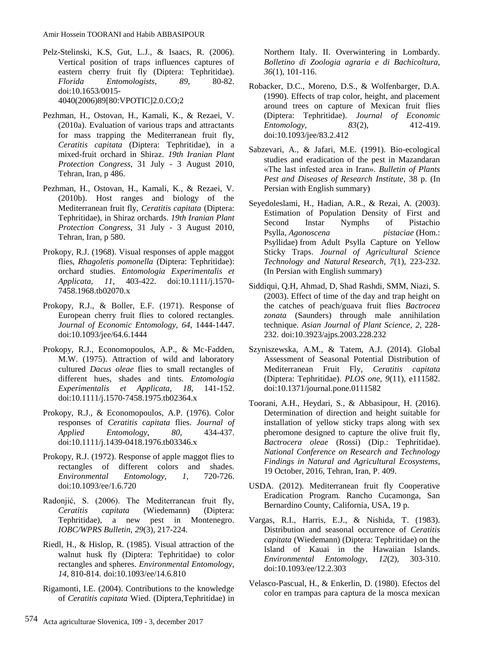Pelz-Stelinski, K.S, Gut, L.J., & Isaacs, R. (2006). Vertical position of traps influences captures of eastern cherry fruit fly (Diptera: Tephritidae). *Florida Entomologists, 89*, 80-82. [doi:10.1653/0015-](https://doi.org/10.1653/0015-4040(2006)89%5b80:VPOTIC%5d2.0.CO;2)

[4040\(2006\)89\[80:VPOTIC\]2.0.CO;2](https://doi.org/10.1653/0015-4040(2006)89%5b80:VPOTIC%5d2.0.CO;2)

- Pezhman, H., Ostovan, H., Kamali, K., & Rezaei, V. (2010a). Evaluation of various traps and attractants for mass trapping the Mediterranean fruit fly, *Ceratitis capitata* (Diptera: Tephritidae), in a mixed-fruit orchard in Shiraz. *19th Iranian Plant Protection Congress*, 31 July - 3 August 2010, Tehran, Iran, p 486.
- Pezhman, H., Ostovan, H., Kamali, K., & Rezaei, V. (2010b). Host ranges and biology of the Mediterranean fruit fly, *Ceratitis capitata* (Diptera: Tephritidae), in Shiraz orchards. *19th Iranian Plant Protection Congress*, 31 July - 3 August 2010, Tehran, Iran, p 580.
- Prokopy, R.J. (1968). Visual responses of apple maggot flies, *Rhagoletis pomonella* (Diptera: Tephritidae): orchard studies. *Entomologia Experimentalis et Applicata, 11*, 403-422. [doi:10.1111/j.1570-](https://doi.org/10.1111/j.1570-7458.1968.tb02070.x) [7458.1968.tb02070.x](https://doi.org/10.1111/j.1570-7458.1968.tb02070.x)
- Prokopy, R.J., & Boller, E.F. (1971). Response of European cherry fruit flies to colored rectangles. *Journal of Economic Entomology, 64*, 1444-1447. [doi:10.1093/jee/64.6.1444](https://doi.org/10.1093/jee/64.6.1444)
- Prokopy, R.J., Economopoulos, A.P., & Mc-Fadden, M.W. (1975). Attraction of wild and laboratory cultured *Dacus oleae* flies to small rectangles of different hues, shades and tints. *Entomologia Experimentalis et Applicata, 18*, 141-152. [doi:10.1111/j.1570-7458.1975.tb02364.x](https://doi.org/10.1111/j.1570-7458.1975.tb02364.x)
- Prokopy, R.J., & Economopoulos, A.P. (1976). Color responses of *Ceratitis capitata* flies. *Journal of Applied Entomology, 80*, 434-437. [doi:10.1111/j.1439-0418.1976.tb03346.x](https://doi.org/10.1111/j.1439-0418.1976.tb03346.x)
- Prokopy, R.J. (1972). Response of apple maggot flies to rectangles of different colors and shades. *Environmental Entomology, 1*, 720-726. [doi:10.1093/ee/1.6.720](https://doi.org/10.1093/ee/1.6.720)
- Radonjić, S. (2006). The Mediterranean fruit fly, *Ceratitis capitata* (Wiedemann) (Diptera: Tephritidae), a new pest in Montenegro. *IOBC/WPRS Bulletin, 29*(3), 217-224.
- Riedl, H., & Hislop, R. (1985). Visual attraction of the walnut husk fly (Diptera: Tephritidae) to color rectangles and spheres. *Environmental Entomology, 14*, 810-814. [doi:10.1093/ee/14.6.810](https://doi.org/10.1093/ee/14.6.810)
- Rigamonti, I.E. (2004). Contributions to the knowledge of *Ceratitis capitata* Wied. (Diptera,Tephritidae) in

Northern Italy. II. Overwintering in Lombardy. *Bolletino di Zoologia agraria e di Bachicoltura, 36*(1), 101-116.

- Robacker, D.C., Moreno, D.S., & Wolfenbarger, D.A. (1990). Effects of trap color, height, and placement around trees on capture of Mexican fruit flies (Diptera: Tephritidae). *Journal of Economic Entomology, 83*(2), 412-419. [doi:10.1093/jee/83.2.412](https://doi.org/10.1093/jee/83.2.412)
- Sabzevari, A., & Jafari, M.E. (1991). Bio-ecological studies and eradication of the pest in Mazandaran «The last infested area in Iran». *Bulletin of Plants Pest and Diseases of Research Institute,* 38 p. (In Persian with English summary)
- Seyedoleslami, H., Hadian, A.R., & Rezai, A. (2003). Estimation of Population Density of First and Second Instar Nymphs of Pistachio<br>Psylla, Agonoscena pistaciae (Hom.: Psylla, *Agonoscena* Psyllidae) from Adult Psylla Capture on Yellow Sticky Traps. *Journal of Agricultural Science Technology and Natural Research, 7*(1), 223-232. (In Persian with English summary)
- Siddiqui, Q.H, Ahmad, D, Shad Rashdi, SMM, Niazi, S. (2003). Effect of time of the day and trap height on the catches of peach/guava fruit flies *Bactrocea zonata* (Saunders) through male annihilation technique. *Asian Journal of Plant Science, 2*, 228- 232. [doi:10.3923/ajps.2003.228.232](https://doi.org/10.3923/ajps.2003.228.232)
- Szyniszewska, A.M., & Tatem, A.J. (2014). Global Assessment of Seasonal Potential Distribution of Mediterranean Fruit Fly, *Ceratitis capitata* (Diptera: Tephritidae). *PLOS one, 9*(11), e111582. [doi:10.1371/journal.pone.0111582](https://doi.org/10.1371/journal.pone.0111582)
- Toorani, A.H., Heydari, S., & Abbasipour, H. (2016). Determination of direction and height suitable for installation of yellow sticky traps along with sex pheromone designed to capture the olive fruit fly, *Bactrocera oleae* (Rossi) (Dip.: Tephritidae). *National Conference on Research and Technology Findings in Natural and Agricultural Ecosystems*, 19 October, 2016, Tehran, Iran, P. 409.
- USDA. (2012). Mediterranean fruit fly Cooperative Eradication Program. Rancho Cucamonga, San Bernardino County, California, USA, 19 p.
- Vargas, R.I., Harris, E.J., & Nishida, T. (1983). Distribution and seasonal occurrence of *Ceratitis capitata* (Wiedemann) (Diptera: Tephritidae) on the Island of Kauai in the Hawaiian Islands. *Environmental Entomology, 12*(2), 303-310. [doi:10.1093/ee/12.2.303](https://doi.org/10.1093/ee/12.2.303)
- Velasco-Pascual, H., & Enkerlin, D. (1980). Efectos del color en trampas para captura de la mosca mexican